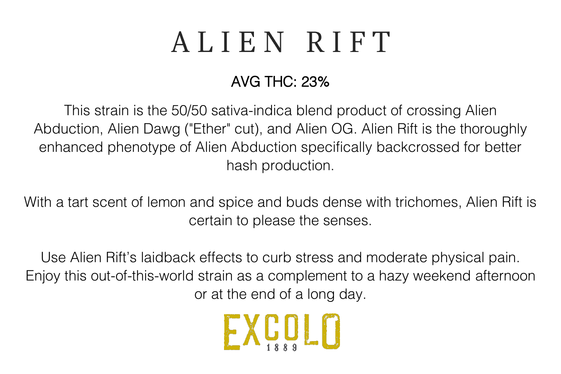## ALIEN RIFT

### AVG THC: 23%

This strain is the 50/50 sativa-indica blend product of crossing Alien Abduction, Alien Dawg ("Ether" cut), and Alien OG. Alien Rift is the thoroughly enhanced phenotype of Alien Abduction specifically backcrossed for better hash production.

With a tart scent of lemon and spice and buds dense with trichomes, Alien Rift is certain to please the senses.

Use Alien Rift's laidback effects to curb stress and moderate physical pain. Enjoy this out-of-this-world strain as a complement to a hazy weekend afternoon or at the end of a long day.

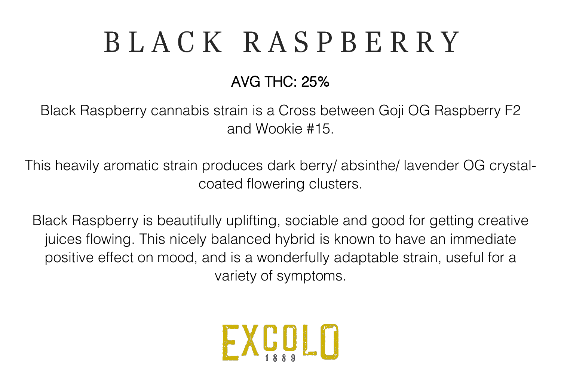# BLACK RASPBERRY

### AVG THC: 25%

Black Raspberry cannabis strain is a Cross between Goji OG Raspberry F2 and Wookie #15.

This heavily aromatic strain produces dark berry/ absinthe/ lavender OG crystalcoated flowering clusters.

Black Raspberry is beautifully uplifting, sociable and good for getting creative juices flowing. This nicely balanced hybrid is known to have an immediate positive effect on mood, and is a wonderfully adaptable strain, useful for a variety of symptoms.

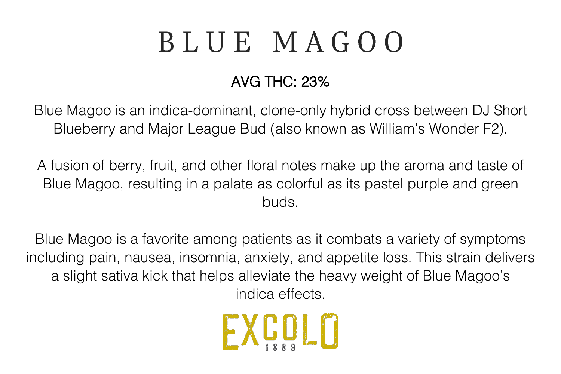# BLUE MAGOO

### AVG THC: 23%

Blue Magoo is an indica-dominant, clone-only hybrid cross between DJ Short Blueberry and Major League Bud (also known as William's Wonder F2).

A fusion of berry, fruit, and other floral notes make up the aroma and taste of Blue Magoo, resulting in a palate as colorful as its pastel purple and green buds.

Blue Magoo is a favorite among patients as it combats a variety of symptoms including pain, nausea, insomnia, anxiety, and appetite loss. This strain delivers a slight sativa kick that helps alleviate the heavy weight of Blue Magoo's indica effects.

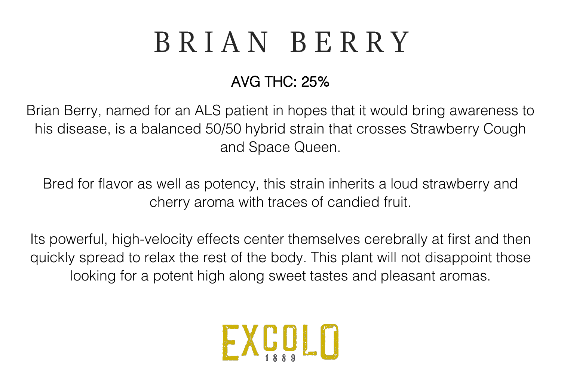## BRIAN BERRY

### AVG THC: 25%

Brian Berry, named for an ALS patient in hopes that it would bring awareness to his disease, is a balanced 50/50 hybrid strain that crosses Strawberry Cough and Space Queen.

Bred for flavor as well as potency, this strain inherits a loud strawberry and cherry aroma with traces of candied fruit.

Its powerful, high-velocity effects center themselves cerebrally at first and then quickly spread to relax the rest of the body. This plant will not disappoint those looking for a potent high along sweet tastes and pleasant aromas.

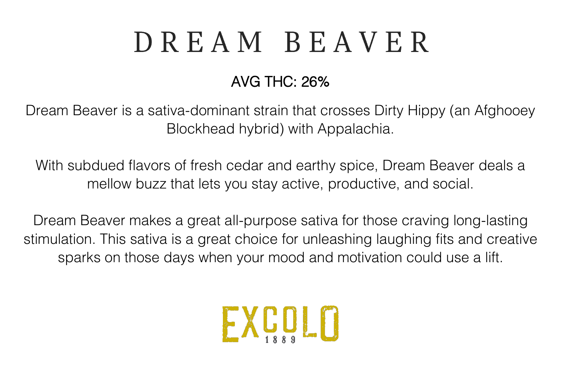# DREAM BEAVER

### AVG THC: 26%

Dream Beaver is a sativa-dominant strain that crosses Dirty Hippy (an Afghooey Blockhead hybrid) with Appalachia.

With subdued flavors of fresh cedar and earthy spice, Dream Beaver deals a mellow buzz that lets you stay active, productive, and social.

Dream Beaver makes a great all-purpose sativa for those craving long-lasting stimulation. This sativa is a great choice for unleashing laughing fits and creative sparks on those days when your mood and motivation could use a lift.

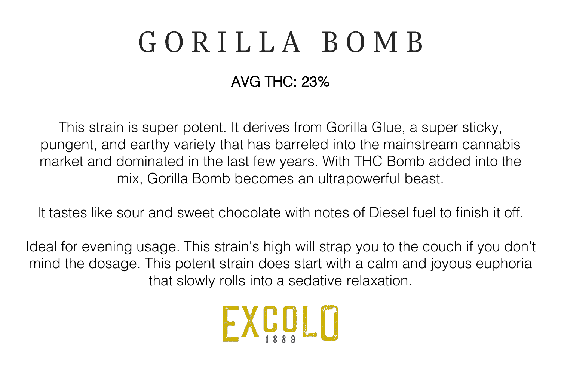## GORILLA BOMB

### AVG THC: 23%

This strain is super potent. It derives from Gorilla Glue, a super sticky, pungent, and earthy variety that has barreled into the mainstream cannabis market and dominated in the last few years. With THC Bomb added into the mix, Gorilla Bomb becomes an ultrapowerful beast.

It tastes like sour and sweet chocolate with notes of Diesel fuel to finish it off.

Ideal for evening usage. This strain's high will strap you to the couch if you don't mind the dosage. This potent strain does start with a calm and joyous euphoria that slowly rolls into a sedative relaxation.

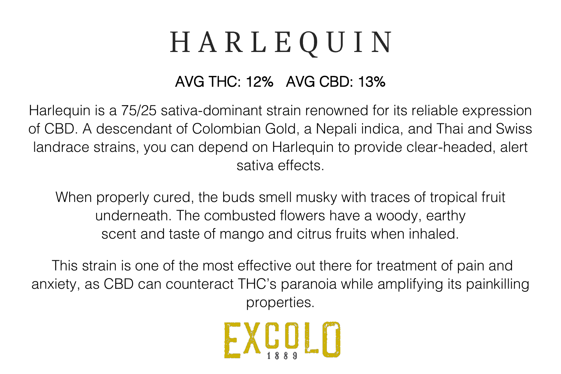## HARLEQUIN

#### AVG THC: 12% AVG CBD: 13%

Harlequin is a 75/25 sativa-dominant strain renowned for its reliable expression of CBD. A descendant of Colombian Gold, a Nepali indica, and Thai and Swiss landrace strains, you can depend on Harlequin to provide clear-headed, alert sativa effects.

When properly cured, the buds smell musky with traces of tropical fruit underneath. The combusted flowers have a woody, earthy scent and taste of mango and citrus fruits when inhaled.

This strain is one of the most effective out there for treatment of pain and anxiety, as CBD can counteract THC's paranoia while amplifying its painkilling properties.

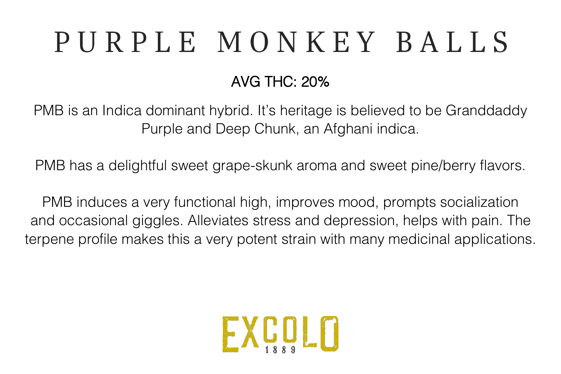# PURPLE MONKEY BALLS

### AVG THC: 20%

PMB is an Indica dominant hybrid. It's heritage is believed to be Granddaddy Purple and Deep Chunk, an Afghani indica.

PMB has a delightful sweet grape-skunk aroma and sweet pine/berry flavors.

PMB induces a very functional high, improves mood, prompts socialization and occasional giggles. Alleviates stress and depression, helps with pain. The terpene profile makes this a very potent strain with many medicinal applications.

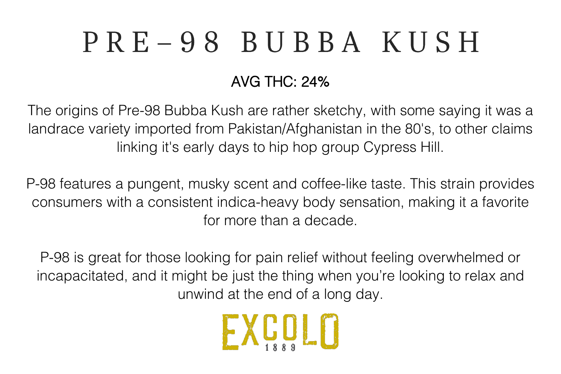# PRE-98 BUBBA KUSH

### AVG THC: 24%

The origins of Pre-98 Bubba Kush are rather sketchy, with some saying it was a landrace variety imported from Pakistan/Afghanistan in the 80's, to other claims linking it's early days to hip hop group Cypress Hill.

P-98 features a pungent, musky scent and coffee-like taste. This strain provides consumers with a consistent indica-heavy body sensation, making it a favorite for more than a decade.

P-98 is great for those looking for pain relief without feeling overwhelmed or incapacitated, and it might be just the thing when you're looking to relax and unwind at the end of a long day.

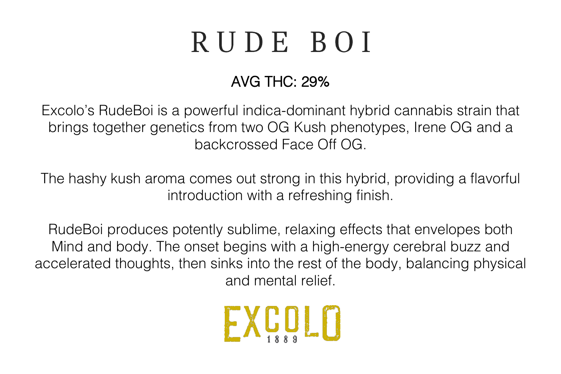## RUDE BOI

### AVG THC: 29%

Excolo's RudeBoi is a powerful indica-dominant hybrid cannabis strain that brings together genetics from two OG Kush phenotypes, Irene OG and a backcrossed Face Off OG.

The hashy kush aroma comes out strong in this hybrid, providing a flavorful introduction with a refreshing finish.

RudeBoi produces potently sublime, relaxing effects that envelopes both Mind and body. The onset begins with a high-energy cerebral buzz and accelerated thoughts, then sinks into the rest of the body, balancing physical and mental relief.

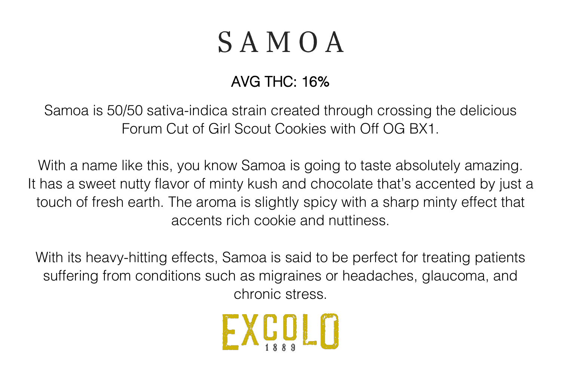## $S$  A M O A

### AVG THC: 16%

Samoa is 50/50 sativa-indica strain created through crossing the delicious Forum Cut of Girl Scout Cookies with Off OG BX1.

With a name like this, you know Samoa is going to taste absolutely amazing. It has a sweet nutty flavor of minty kush and chocolate that's accented by just a touch of fresh earth. The aroma is slightly spicy with a sharp minty effect that accents rich cookie and nuttiness.

With its heavy-hitting effects, Samoa is said to be perfect for treating patients suffering from conditions such as migraines or headaches, glaucoma, and chronic stress.

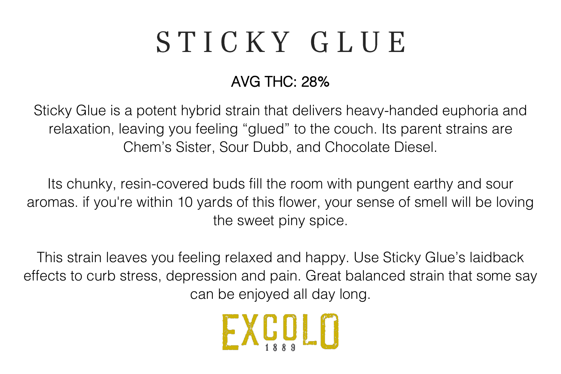## STICKY GLUE

### AVG THC: 28%

Sticky Glue is a potent hybrid strain that delivers heavy-handed euphoria and relaxation, leaving you feeling "glued" to the couch. Its parent strains are Chem's Sister, Sour Dubb, and Chocolate Diesel.

Its chunky, resin-covered buds fill the room with pungent earthy and sour aromas. if you're within 10 yards of this flower, your sense of smell will be loving the sweet piny spice.

This strain leaves you feeling relaxed and happy. Use Sticky Glue's laidback effects to curb stress, depression and pain. Great balanced strain that some say can be enjoyed all day long.